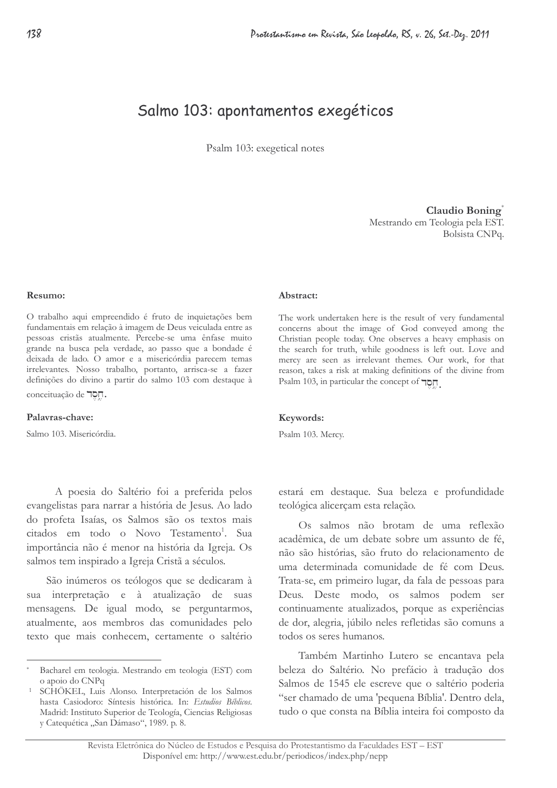# Salmo 103: apontamentos exegéticos

Psalm 103: exegetical notes

Claudio Boning® Mestrando em Teologia pela EST. Bolsista CNPq.

#### $Re_{sum}$

O trabalho aqui empreendido é fruto de inquietações bem fundamentais em relação à imagem de Deus veiculada entre as pessoas cristãs atualmente. Percebe-se uma ênfase muito grande na busca pela verdade, ao passo que a bondade é deixada de lado. O amor e a misericórdia parecem temas irrelevantes. Nosso trabalho, portanto, arrisca-se a fazer definições do divino a partir do salmo 103 com destaque à conceituação de 70<sub>0</sub>.

#### Palavras-chave:

Salmo 103. Misericórdia.

A poesia do Saltério foi a preferida pelos evangelistas para narrar a história de Jesus. Ao lado do profeta Isaías, os Salmos são os textos mais citados em todo o Novo Testamento<sup>1</sup>. Sua importância não é menor na história da Igreja. Os salmos tem inspirado a Igreja Cristã a séculos.

São inúmeros os teólogos que se dedicaram à sua interpretação e à atualização de suas mensagens. De igual modo, se perguntarmos, atualmente, aos membros das comunidades pelo texto que mais conhecem, certamente o saltério

#### Abstract:

The work undertaken here is the result of very fundamental concerns about the image of God conveyed among the Christian people today. One observes a heavy emphasis on the search for truth, while goodness is left out. Love and mercy are seen as irrelevant themes. Our work, for that reason, takes a risk at making definitions of the divine from Psalm 103, in particular the concept of  $\neg$ 

#### Keywords:

Psalm 103. Mercy.

estará em destaque. Sua beleza e profundidade teológica alicerçam esta relação.

Os salmos não brotam de uma reflexão acadêmica, de um debate sobre um assunto de fé, não são histórias, são fruto do relacionamento de uma determinada comunidade de fé com Deus. Trata-se, em primeiro lugar, da fala de pessoas para Deus. Deste modo, os salmos podem ser continuamente atualizados, porque as experiências de dor, alegria, júbilo neles refletidas são comuns a todos os seres humanos.

Também Martinho Lutero se encantava pela beleza do Saltério. No prefácio à tradução dos Salmos de 1545 ele escreve que o saltério poderia "ser chamado de uma 'pequena Bíblia'. Dentro dela, tudo o que consta na Bíblia inteira foi composto da

Bacharel em teologia. Mestrando em teologia (EST) com o apoio do CNPq

SCHÖKEL, Luis Alonso. Interpretación de los Salmos hasta Casiodoro: Síntesis histórica. In: Estudios Bíblicos. Madrid: Instituto Superior de Teología, Ciencias Religiosas y Catequética "San Dámaso", 1989. p. 8.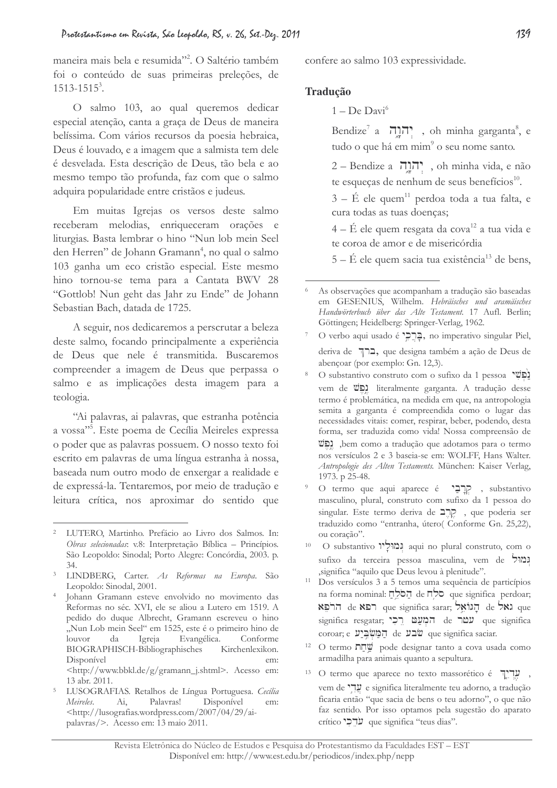maneira mais bela e resumida"<sup>2</sup>. O Saltério também foi o conteúdo de suas primeiras preleções, de  $1513 - 1515^3$ .

O salmo 103, ao qual queremos dedicar especial atenção, canta a graça de Deus de maneira belíssima. Com vários recursos da poesia hebraica, Deus é louvado, e a imagem que a salmista tem dele é desvelada. Esta descrição de Deus, tão bela e ao mesmo tempo tão profunda, faz com que o salmo adquira popularidade entre cristãos e judeus.

Em muitas Igrejas os versos deste salmo receberam melodias, enriqueceram orações e liturgias. Basta lembrar o hino "Nun lob mein Seel den Herren" de Johann Gramann<sup>4</sup>, no qual o salmo 103 ganha um eco cristão especial. Este mesmo hino tornou-se tema para a Cantata BWV 28 "Gottlob! Nun geht das Jahr zu Ende" de Johann Sebastian Bach, datada de 1725.

A seguir, nos dedicaremos a perscrutar a beleza deste salmo, focando principalmente a experiência de Deus que nele é transmitida. Buscaremos compreender a imagem de Deus que perpassa o salmo e as implicações desta imagem para a teologia.

"Ai palavras, ai palavras, que estranha potência a vossa"<sup>5</sup>. Este poema de Cecília Meireles expressa o poder que as palavras possuem. O nosso texto foi escrito em palavras de uma língua estranha à nossa, baseada num outro modo de enxergar a realidade e de expressá-la. Tentaremos, por meio de tradução e leitura crítica, nos aproximar do sentido que

Johann Gramann esteve envolvido no movimento das Reformas no séc. XVI, ele se aliou a Lutero em 1519. A pedido do duque Albrecht, Gramann escreveu o hino "Nun Lob mein Seel" em 1525, este é o primeiro hino de da Igreja Evangélica. Conforme  $l$ ouvor BIOGRAPHISCH-Bibliographisches Kirchenlexikon. Disponível em: <http://www.bbkl.de/g/gramann\_j.shtml>. Acesso em: 13 abr. 2011.

 $\overline{5}$ LUSOGRAFIAS. Retalhos de Língua Portuguesa. Cecília Meireles. Palavras! Disponível  $Ai,$ em: <http://lusografias.wordpress.com/2007/04/29/aipalavras/>. Acesso em: 13 maio 2011.

confere ao salmo 103 expressividade.

# **Tradução**

 $1 - De David^6$ 

Bendize<sup>7</sup> a יְהוֶה, oh minha garganta<sup>8</sup>, e tudo o que há em mim<sup>9</sup> o seu nome santo.

2 – Bendize a יהוה, oh minha vida, e não te esqueças de nenhum de seus benefícios<sup>10</sup>.

 $3 - \acute{E}$  ele quem<sup>11</sup> perdoa toda a tua falta, e cura todas as tuas doenças;

 $4 - \acute{E}$  ele quem resgata da cova<sup>12</sup> a tua vida e te coroa de amor e de misericórdia

 $5 - \acute{E}$  ele quem sacia tua existência<sup>13</sup> de bens,

LUTERO, Martinho, Prefácio ao Livro dos Salmos. In: Obras selecionadas: v.8: Interpretação Bíblica - Princípios. São Leopoldo: Sinodal; Porto Alegre: Concórdia, 2003. p. 34.

<sup>&</sup>lt;sup>3</sup> LINDBERG, Carter. As Reformas na Europa. São Leopoldo: Sinodal, 2001.

As observações que acompanham a tradução são baseadas em GESENIUS, Wilhelm. Hebräisches und aramäisches Handwörterbuch über das Alte Testament. 17 Aufl. Berlin; Göttingen; Heidelberg: Springer-Verlag, 1962.

O verbo aqui usado é "prediço imperativo singular Piel, deriva de 71, que designa também a ação de Deus de abençoar (por exemplo: Gn. 12,3).

O substantivo construto com o sufixo da 1 pessoa נפשי vem de  $\overline{v}$ , literalmente garganta. A tradução desse termo é problemática, na medida em que, na antropologia semita a garganta é compreendida como o lugar das necessidades vitais: comer, respirar, beber, podendo, desta forma, ser traduzida como vida! Nossa compreensão de שֲפָשׁ, bem como a tradução que adotamos para o termo nos versículos 2 e 3 baseia-se em: WOLFF, Hans Walter. Antropologie des Alten Testaments. München: Kaiser Verlag, 1973. p 25-48.

O termo que aqui aparece é קְרָבַי , substantivo masculino, plural, construto com sufixo da 1 pessoa do singular. Este termo deriva de  $\Box \Box$ , que poderia ser traduzido como "entranha, útero(Conforme Gn. 25,22), ou coração".

 $10^{\circ}$ O substantivo וְמוֹלָיו aqui no plural construto, com o sufixo da terceira pessoa masculina, vem de גמול significa "aquilo que Deus levou à plenitude".

Dos versículos 3 a 5 temos uma sequência de particípios na forma nominal: הַסֹּלֶח de חלָח que significa perdoar; re אל de הרפא que significa sarar; הְגּוֹאֵל de הוֹפָא  $significa$  resgatar; פְרַי de שמר que significa coroar; e המשביע de yue significa saciar.

O termo nnu pode designar tanto a cova usada como armadilha para animais quanto a sepultura.

<sup>13</sup> O termo que aparece no texto massorético é II, vem de "versignifica literalmente teu adorno, a tradução ficaria então "que sacia de bens o teu adorno", o que não faz sentido. Por isso optamos pela sugestão do aparato crítico "ue significa "teus dias".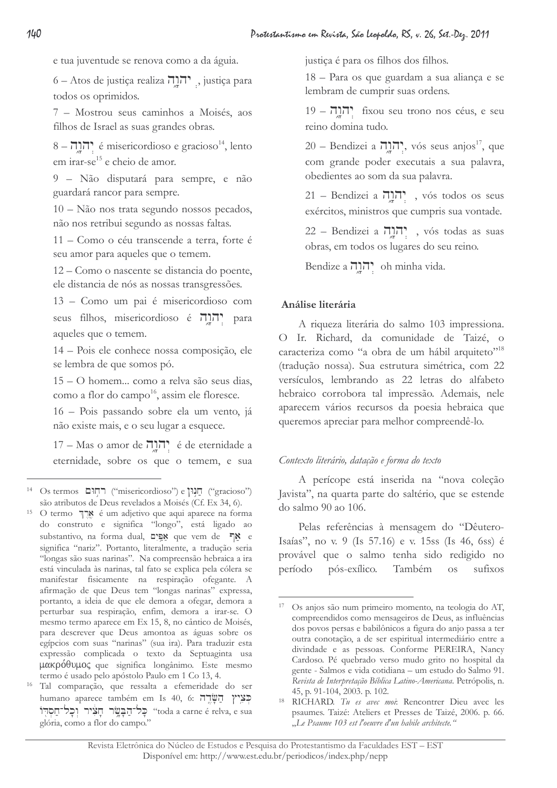e tua juventude se renova como a da águia.

6 – Atos de justiça realiza יהוה, justiça para todos os oprimidos.

7 – Mostrou seus caminhos a Moisés, aos filhos de Israel as suas grandes obras.

 $8 - 7$ הוה é misericordioso e gracioso<sup>14</sup>, lento em irar-se<sup>15</sup> e cheio de amor.

9 - Não disputará para sempre, e não guardará rancor para sempre.

10 - Não nos trata segundo nossos pecados, não nos retribui segundo as nossas faltas.

11 - Como o céu transcende a terra, forte é seu amor para aqueles que o temem.

12 – Como o nascente se distancia do poente, ele distancia de nós as nossas transgressões.

13 - Como um pai é misericordioso com seus filhos, misericordioso é הְנַה para aqueles que o temem.

14 - Pois ele conhece nossa composição, ele se lembra de que somos pó.

15 – O homem... como a relva são seus dias, como a flor do campo<sup>16</sup>, assim ele floresce.

16 - Pois passando sobre ela um vento, já não existe mais, e o seu lugar a esquece.

17 – Mas o amor de יהוה? é de eternidade a eternidade, sobre os que o temem, e sua justiça é para os filhos dos filhos.

18 - Para os que guardam a sua aliança e se lembram de cumprir suas ordens.

19 – הוה fixou seu trono nos céus, e seu reino domina tudo.

20 – Bendizei a תקרה, vós seus anjos<sup>17</sup>, que com grande poder executais a sua palavra, obedientes ao som da sua palavra.

21 – Bendizei a יְהֹוֶה, vós todos os seus exércitos, ministros que cumpris sua vontade.

22 – Bendizei a יְהוַה, vós todas as suas obras, em todos os lugares do seu reino.

Bendize a ninh cida.

# Análise literária

A riqueza literária do salmo 103 impressiona. O Ir. Richard, da comunidade de Taizé, o caracteriza como "a obra de um hábil arquiteto"<sup>18</sup> (tradução nossa). Sua estrutura simétrica, com 22 versículos, lembrando as 22 letras do alfabeto hebraico corrobora tal impressão. Ademais, nele aparecem vários recursos da poesia hebraica que queremos apreciar para melhor compreendê-lo.

# Contexto literário, datação e forma do texto

A perícope está inserida na "nova coleção Javista", na quarta parte do saltério, que se estende do salmo 90 ao 106.

Pelas referências à mensagem do "Dêutero-Isaías", no v. 9 (Is 57.16) e v. 15ss (Is 46, 6ss) é provável que o salmo tenha sido redigido no período pós-exílico. Também **OS** sufixos

 $14$ Os termos רְחִוּם ("misericordioso") e הַנְוֹן ("gracioso") são atributos de Deus revelados a Moisés (Cf. Ex 34, 6).

O termo אֲרֵךְ é um adjetivo que aqui aparece na forma do construto e significa "longo", está ligado ao substantivo, na forma dual, אַפִּים que vem de אֲפִים significa "nariz". Portanto, literalmente, a tradução seria "longas são suas narinas". Na compreensão hebraica a ira está vinculada às narinas, tal fato se explica pela cólera se manifestar fisicamente na respiração ofegante. A afirmação de que Deus tem "longas narinas" expressa, portanto, a ideia de que ele demora a ofegar, demora a perturbar sua respiração, enfim, demora a irar-se. O mesmo termo aparece em Ex 15, 8, no cântico de Moisés, para descrever que Deus amontoa as águas sobre os egípcios com suas "narinas" (sua ira). Para traduzir esta expressão complicada o texto da Septuaginta usa μακρόθυμος que significa longânimo. Este mesmo termo é usado pelo apóstolo Paulo em 1 Co 13, 4.

<sup>16</sup> Tal comparação, que ressalta a efemeridade do ser humano aparece também em Is 40, 6: בִּצְיץ הַשָּׂדֶה toda a carne é relva, e sua" כל־הבשר חציר וכל־חסדו glória, como a flor do campo."

Os anjos são num primeiro momento, na teologia do AT, compreendidos como mensageiros de Deus, as influências dos povos persas e babilônicos a figura do anjo passa a ter outra conotação, a de ser espiritual intermediário entre a divindade e as pessoas. Conforme PEREIRA, Nancy Cardoso. Pé quebrado verso mudo grito no hospital da gente - Salmos e vida cotidiana - um estudo do Salmo 91. Revista de Interpretação Bíblica Latino-Americana. Petrópolis, n. 45, p. 91-104, 2003. p. 102.

<sup>&</sup>lt;sup>18</sup> RICHARD. Tu es avec moi: Rencontrer Dieu avec les psaumes. Taizé: Ateliers et Presses de Taizé, 2006. p. 66. "Le Psaume 103 est l'oeuvre d'un habile architecte."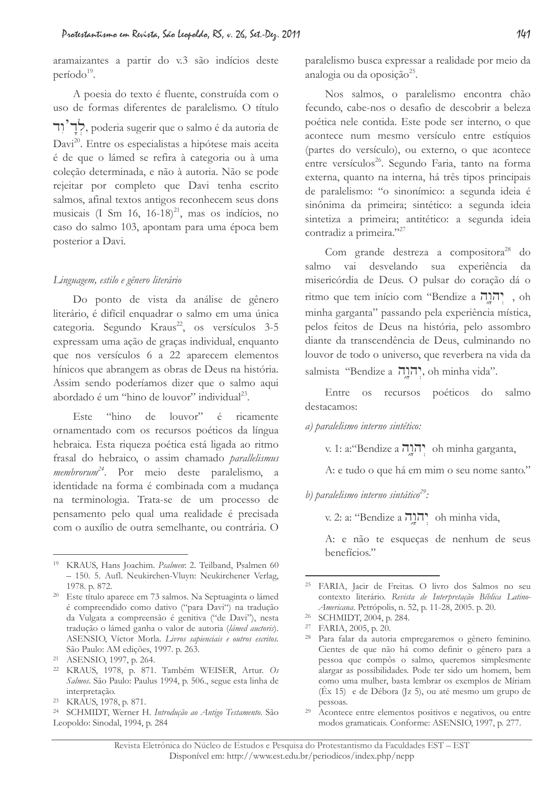aramaizantes a partir do v.3 são indícios deste período<sup>19</sup>.

A poesia do texto é fluente, construída com o uso de formas diferentes de paralelismo. O título לְךָ ? , poderia sugerir que o salmo é da autoria de Davi<sup>20</sup>. Entre os especialistas a hipótese mais aceita é de que o lámed se refira à categoria ou à uma coleção determinada, e não à autoria. Não se pode rejeitar por completo que Davi tenha escrito salmos, afinal textos antigos reconhecem seus dons musicais (I Sm 16, 16-18) $^{21}$ , mas os indícios, no caso do salmo 103, apontam para uma época bem posterior a Davi.

#### Linguagem, estilo e gênero literário

Do ponto de vista da análise de gênero literário, é difícil enquadrar o salmo em uma única categoria. Segundo Kraus<sup>22</sup>, os versículos 3-5 expressam uma ação de graças individual, enquanto que nos versículos 6 a 22 aparecem elementos hínicos que abrangem as obras de Deus na história. Assim sendo poderíamos dizer que o salmo aqui abordado é um "hino de louvor" individual<sup>23</sup>.

Este "hino de louvor" é ricamente ornamentado com os recursos poéticos da língua hebraica. Esta riqueza poética está ligada ao ritmo frasal do hebraico, o assim chamado parallelismus membrorum<sup>24</sup>. Por meio deste paralelismo, a identidade na forma é combinada com a mudança na terminologia. Trata-se de um processo de pensamento pelo qual uma realidade é precisada com o auxílio de outra semelhante, ou contrária. O

paralelismo busca expressar a realidade por meio da analogia ou da oposição<sup>25</sup>.

Nos salmos, o paralelismo encontra chão fecundo, cabe-nos o desafio de descobrir a beleza poética nele contida. Este pode ser interno, o que acontece num mesmo versículo entre estíquios (partes do versículo), ou externo, o que acontece entre versículos<sup>26</sup>. Segundo Faria, tanto na forma externa, quanto na interna, há três tipos principais de paralelismo: "o sinonímico: a segunda ideia é sinônima da primeira; sintético: a segunda ideia sintetiza a primeira; antitético: a segunda ideia contradiz a primeira."27

Com grande destreza a compositora<sup>28</sup> do salmo vai desvelando sua experiência da misericórdia de Deus. O pulsar do coração dá o ritmo que tem início com "Bendize a תְהֹרָה", oh minha garganta" passando pela experiência mística, pelos feitos de Deus na história, pelo assombro diante da transcendência de Deus, culminando no louvor de todo o universo, que reverbera na vida da salmista "Bendize a יָהוֶה, oh minha vida".

Entre os recursos poéticos do salmo destacamos:

#### a) paralelismo interno sintético:

v. 1: a: "Bendize a יְהוֶה oh minha garganta,

A: e tudo o que há em mim o seu nome santo."

b) paralelismo interno sintático<sup>29</sup>:

v. 2: a: "Bendize a יהוה oh minha vida,

A: e não te esqueças de nenhum de seus benefícios."

<sup>&</sup>lt;sup>19</sup> KRAUS, Hans Joachim. Psalmen: 2. Teilband, Psalmen 60 - 150. 5. Aufl. Neukirchen-Vluyn: Neukirchener Verlag, 1978. p. 872.

<sup>&</sup>lt;sup>20</sup> Este título aparece em 73 salmos. Na Septuaginta o lámed é compreendido como dativo ("para Davi") na tradução da Vulgata a compreensão é genitiva ("de Davi"), nesta tradução o lámed ganha o valor de autoria (lámed auctoris). ASENSIO, Víctor Morla. Livros sapienciais e outros escritos. São Paulo: AM edições, 1997. p. 263.

<sup>&</sup>lt;sup>21</sup> ASENSIO, 1997, p. 264.

<sup>&</sup>lt;sup>22</sup> KRAUS, 1978, p. 871. Também WEISER, Artur. Os Salmos. São Paulo: Paulus 1994, p. 506., segue esta linha de interpretação.

<sup>&</sup>lt;sup>23</sup> KRAUS, 1978, p. 871.

<sup>&</sup>lt;sup>24</sup> SCHMIDT, Werner H. Introdução ao Antigo Testamento. São Leopoldo: Sinodal, 1994, p. 284

<sup>&</sup>lt;sup>25</sup> FARIA, Jacir de Freitas. O livro dos Salmos no seu contexto literário. Revista de Interpretação Bíblica Latino-Americana. Petrópolis, n. 52, p. 11-28, 2005. p. 20.

<sup>&</sup>lt;sup>26</sup> SCHMIDT, 2004, p. 284.

<sup>&</sup>lt;sup>27</sup> FARIA, 2005, p. 20.

<sup>&</sup>lt;sup>28</sup> Para falar da autoria empregaremos o gênero feminino. Cientes de que não há como definir o gênero para a pessoa que compôs o salmo, queremos simplesmente alargar as possibilidades. Pode ter sido um homem, bem como uma mulher, basta lembrar os exemplos de Míriam  $(\hat{E}x 15)$  e de Débora ([z 5), ou até mesmo um grupo de pessoas.

<sup>&</sup>lt;sup>29</sup> Acontece entre elementos positivos e negativos, ou entre modos gramaticais. Conforme: ASENSIO, 1997, p. 277.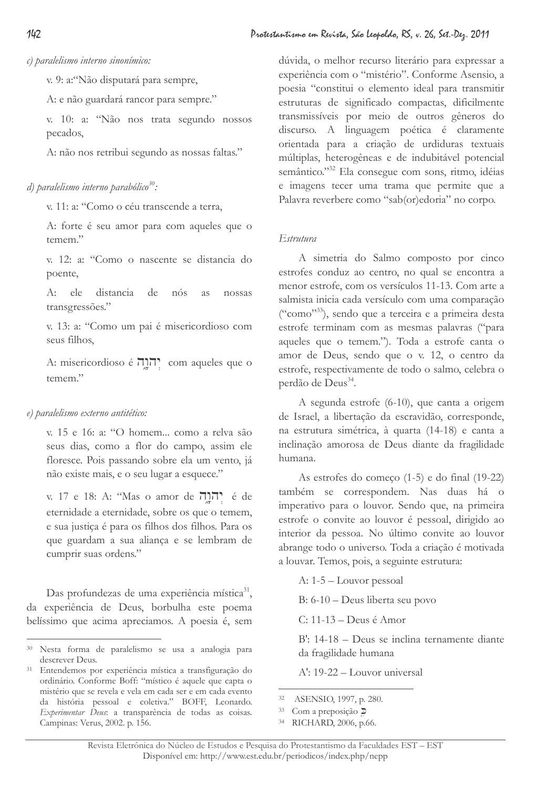c) paralelismo interno sinonímico:

v. 9: a: "Não disputará para sempre,

A: e não guardará rancor para sempre."

v. 10: a: "Não nos trata segundo nossos pecados,

A: não nos retribui segundo as nossas faltas."

# d) paralelismo interno parabólico<sup>30</sup>:

v. 11: a: "Como o céu transcende a terra,

A: forte é seu amor para com aqueles que o temem."

v. 12: a: "Como o nascente se distancia do poente,

A: ele distancia de nós as nossas transgressões."

v. 13: a: "Como um pai é misericordioso com seus filhos,

A: misericordioso é הַתְּהָ com aqueles que o temem."

# e) paralelismo externo antitético:

v. 15 e 16: a: ''O homem... como a relva são seus dias, como a flor do campo, assim ele floresce. Pois passando sobre ela um vento, já não existe mais, e o seu lugar a esquece."

v. 17 e 18: A: "Mas o amor de יְהוֹהֶה é de eternidade a eternidade, sobre os que o temem, e sua justiça é para os filhos dos filhos. Para os que guardam a sua aliança e se lembram de cumprir suas ordens."

Das profundezas de uma experiência mística31, da experiência de Deus, borbulha este poema belíssimo que acima apreciamos. A poesia é, sem

dúvida, o melhor recurso literário para expressar a experiência com o "mistério". Conforme Asensio, a poesia "constitui o elemento ideal para transmitir estruturas de significado compactas, dificilmente transmissíveis por meio de outros gêneros do discurso. A linguagem poética é claramente orientada para a criação de urdiduras textuais múltiplas, heterogêneas e de indubitável potencial semântico."32 Ela consegue com sons, ritmo, idéias e imagens tecer uma trama que permite que a Palavra reverbere como "sab(or)edoria" no corpo.

# Estrutura

A simetria do Salmo composto por cinco estrofes conduz ao centro, no qual se encontra a menor estrofe, com os versículos 11-13. Com arte a salmista inicia cada versículo com uma comparação ("como"<sup>33</sup>), sendo que a terceira e a primeira desta estrofe terminam com as mesmas palavras ("para aqueles que o temem."). Toda a estrofe canta o amor de Deus, sendo que o v. 12, o centro da estrofe, respectivamente de todo o salmo, celebra o perdão de Deus<sup>34</sup>.

A segunda estrofe (6-10), que canta a origem de Israel, a libertação da escravidão, corresponde, na estrutura simétrica, à quarta (14-18) e canta a inclinação amorosa de Deus diante da fragilidade humana.

As estrofes do começo (1-5) e do final (19-22) também se correspondem. Nas duas há o imperativo para o louvor. Sendo que, na primeira estrofe o convite ao louvor é pessoal, dirigido ao interior da pessoa. No último convite ao louvor abrange todo o universo. Toda a criação é motivada a louvar. Temos, pois, a seguinte estrutura:

 $A: 1-5$  – Louvor pessoal

B: 6-10 – Deus liberta seu povo

 $C: 11-13 - \text{Deus}$  é Amor

B': 14-18 – Deus se inclina ternamente diante da fragilidade humana

 $A$ <sup>'</sup>: 19-22 – Louvor universal

<sup>30</sup> Nesta forma de paralelismo se usa a analogia para descrever Deus.

<sup>31</sup> Entendemos por experiência mística a transfiguração do ordinário. Conforme Boff: "místico é aquele que capta o mistério que se revela e vela em cada ser e em cada evento da história pessoal e coletiva." BOFF, Leonardo. Experimentar Deus: a transparência de todas as coisas. Campinas: Verus, 2002. p. 156.

<sup>32</sup> ASENSIO, 1997, p. 280.

<sup>33</sup> Com a preposição  $\overline{D}$ 

<sup>34</sup> RICHARD, 2006, p.66.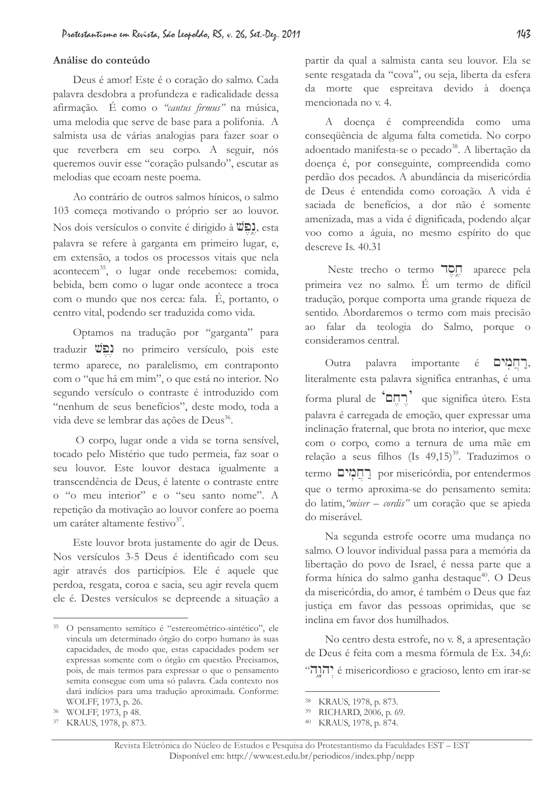#### Análise do conteúdo

Deus é amor! Este é o coração do salmo. Cada palavra desdobra a profundeza e radicalidade dessa afirmação. É como o "cantus firmus" na música, uma melodia que serve de base para a polifonia. A salmista usa de várias analogias para fazer soar o que reverbera em seu corpo. A seguir, nós queremos ouvir esse "coração pulsando", escutar as melodias que ecoam neste poema.

Ao contrário de outros salmos hínicos, o salmo 103 começa motivando o próprio ser ao louvor. Nos dois versículos o convite é dirigido à UO, esta palavra se refere à garganta em primeiro lugar, e, em extensão, a todos os processos vitais que nela acontecem<sup>35</sup>, o lugar onde recebemos: comida, bebida, bem como o lugar onde acontece a troca com o mundo que nos cerca: fala. É, portanto, o centro vital, podendo ser traduzida como vida.

Optamos na tradução por "garganta" para traduzir **UC** no primeiro versículo, pois este termo aparece, no paralelismo, em contraponto com o "que há em mim", o que está no interior. No segundo versículo o contraste é introduzido com "nenhum de seus benefícios", deste modo, toda a vida deve se lembrar das ações de Deus<sup>36</sup>.

O corpo, lugar onde a vida se torna sensível, tocado pelo Mistério que tudo permeia, faz soar o seu louvor. Este louvor destaca igualmente a transcendência de Deus, é latente o contraste entre o "o meu interior" e o "seu santo nome". A repetição da motivação ao louvor confere ao poema um caráter altamente festivo<sup>37</sup>.

Este louvor brota justamente do agir de Deus. Nos versículos 3-5 Deus é identificado com seu agir através dos particípios. Ele é aquele que perdoa, resgata, coroa e sacia, seu agir revela quem ele é. Destes versículos se depreende a situação a

partir da qual a salmista canta seu louvor. Ela se sente resgatada da "cova", ou seja, liberta da esfera da morte que espreitava devido à doença mencionada no v. 4.

A doenca é compreendida como uma conseqüência de alguma falta cometida. No corpo adoentado manifesta-se o pecado<sup>38</sup>. A libertação da doença é, por conseguinte, compreendida como perdão dos pecados. A abundância da misericórdia de Deus é entendida como coroação. A vida é saciada de benefícios, a dor não é somente amenizada, mas a vida é dignificada, podendo alçar voo como a águia, no mesmo espírito do que descreve Is. 40.31

Neste trecho o termo non aparece pela primeira vez no salmo. È um termo de difícil tradução, porque comporta uma grande riqueza de sentido. Abordaremos o termo com mais precisão ao falar da teologia do Salmo, porque o consideramos central.

Outra palavra importante é רחמים, literalmente esta palavra significa entranhas, é uma forma plural de 'הֶחֶם' que significa útero. Esta palavra é carregada de emoção, quer expressar uma inclinação fraternal, que brota no interior, que mexe com o corpo, como a ternura de uma mãe em relação a seus filhos (Is 49,15)<sup>39</sup>. Traduzimos o termo רְחֲמְים por misericórdia, por entendermos que o termo aproxima-se do pensamento semita: do latim, "miser - cordis" um coração que se apieda do miserável.

Na segunda estrofe ocorre uma mudança no salmo. O louvor individual passa para a memória da libertação do povo de Israel, é nessa parte que a forma hínica do salmo ganha destaque<sup>40</sup>. O Deus da misericórdia, do amor, é também o Deus que faz justica em favor das pessoas oprimidas, que se inclina em favor dos humilhados.

No centro desta estrofe, no v. 8, a apresentação de Deus é feita com a mesma fórmula de Ex. 34,6: יהורי é misericordioso e gracioso, lento em irar-se

<sup>35</sup> O pensamento semítico é "estereométrico-sintético", ele vincula um determinado órgão do corpo humano às suas capacidades, de modo que, estas capacidades podem ser expressas somente com o órgão em questão. Precisamos, pois, de mais termos para expressar o que o pensamento semita consegue com uma só palavra. Cada contexto nos dará indícios para uma tradução aproximada. Conforme: WOLFF, 1973, p. 26.

<sup>36</sup> WOLFF, 1973, p 48.

<sup>&</sup>lt;sup>37</sup> KRAUS, 1978, p. 873.

<sup>&</sup>lt;sup>38</sup> KRAUS, 1978, p. 873.

<sup>39</sup> RICHARD, 2006, p. 69.

<sup>&</sup>lt;sup>40</sup> KRAUS, 1978, p. 874.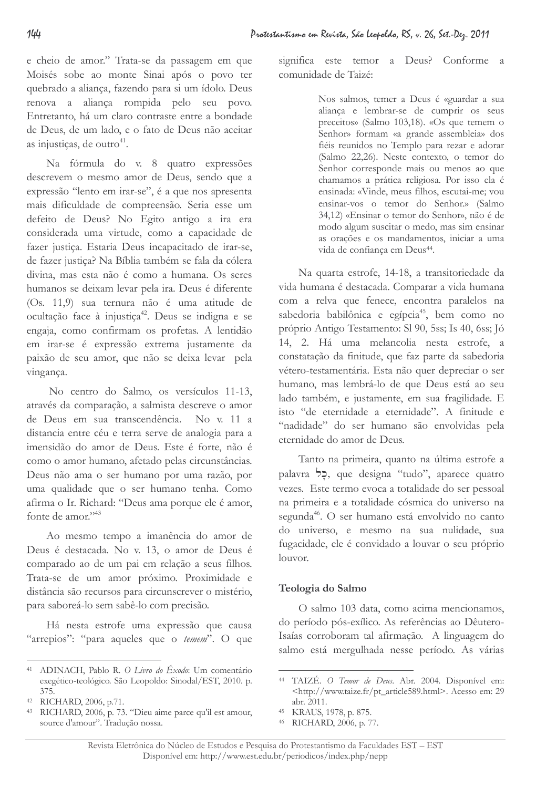e cheio de amor." Trata-se da passagem em que Moisés sobe ao monte Sinai após o povo ter quebrado a aliança, fazendo para si um ídolo. Deus renova a aliança rompida pelo seu povo. Entretanto, há um claro contraste entre a bondade de Deus, de um lado, e o fato de Deus não aceitar as injusticas, de outro<sup>41</sup>.

Na fórmula do v. 8 quatro expressões descrevem o mesmo amor de Deus, sendo que a expressão "lento em irar-se", é a que nos apresenta mais dificuldade de compreensão. Seria esse um defeito de Deus? No Egito antigo a ira era considerada uma virtude, como a capacidade de fazer justiça. Estaria Deus incapacitado de irar-se, de fazer justica? Na Bíblia também se fala da cólera divina, mas esta não é como a humana. Os seres humanos se deixam levar pela ira. Deus é diferente (Os. 11,9) sua ternura não é uma atitude de ocultação face à injustiça<sup>42</sup>. Deus se indigna e se engaja, como confirmam os profetas. A lentidão em irar-se é expressão extrema justamente da paixão de seu amor, que não se deixa levar pela vingança.

No centro do Salmo, os versículos 11-13, através da comparação, a salmista descreve o amor de Deus em sua transcendência. No v. 11 a distancia entre céu e terra serve de analogia para a imensidão do amor de Deus. Este é forte, não é como o amor humano, afetado pelas circunstâncias. Deus não ama o ser humano por uma razão, por uma qualidade que o ser humano tenha. Como afirma o Ir. Richard: "Deus ama porque ele é amor, fonte de amor."<sup>43</sup>

Ao mesmo tempo a imanência do amor de Deus é destacada. No v. 13, o amor de Deus é comparado ao de um pai em relação a seus filhos. Trata-se de um amor próximo. Proximidade e distância são recursos para circunscrever o mistério, para saboreá-lo sem sabê-lo com precisão.

Há nesta estrofe uma expressão que causa "arrepios": "para aqueles que o temem". O que significa este temor a Deus? Conforme a comunidade de Taizé:

> Nos salmos, temer a Deus é «guardar a sua aliança e lembrar-se de cumprir os seus preceitos» (Salmo 103,18). «Os que temem o Senhor» formam «a grande assembleia» dos fiéis reunidos no Templo para rezar e adorar (Salmo 22,26). Neste contexto, o temor do Senhor corresponde mais ou menos ao que chamamos a prática religiosa. Por isso ela é ensinada: «Vinde, meus filhos, escutai-me; vou ensinar-vos o temor do Senhor.» (Salmo 34,12) «Ensinar o temor do Senhor», não é de modo algum suscitar o medo, mas sim ensinar as orações e os mandamentos, iniciar a uma vida de confiança em Deus<sup>44</sup>.

Na quarta estrofe, 14-18, a transitoriedade da vida humana é destacada. Comparar a vida humana com a relva que fenece, encontra paralelos na sabedoria babilônica e egípcia<sup>45</sup>, bem como no próprio Antigo Testamento: Sl 90, 5ss; Is 40, 6ss; Jó 14, 2. Há uma melancolia nesta estrofe, a constatação da finitude, que faz parte da sabedoria vétero-testamentária. Esta não quer depreciar o ser humano, mas lembrá-lo de que Deus está ao seu lado também, e justamente, em sua fragilidade. E isto "de eternidade a eternidade". A finitude e "nadidade" do ser humano são envolvidas pela eternidade do amor de Deus.

Tanto na primeira, quanto na última estrofe a palavra >2, que designa "tudo", aparece quatro vezes. Este termo evoca a totalidade do ser pessoal na primeira e a totalidade cósmica do universo na segunda<sup>46</sup>. O ser humano está envolvido no canto do universo, e mesmo na sua nulidade, sua fugacidade, ele é convidado a louvar o seu próprio louvor.

# Teologia do Salmo

O salmo 103 data, como acima mencionamos, do período pós-exílico. As referências ao Dêutero-Isaías corroboram tal afirmação. A linguagem do salmo está mergulhada nesse período. As várias

<sup>&</sup>lt;sup>41</sup> ADINACH, Pablo R. O Livro do Éxodo: Um comentário exegético-teológico. São Leopoldo: Sinodal/EST, 2010. p.  $375.$ 

<sup>42</sup> RICHARD, 2006, p.71.

RICHARD, 2006, p. 73. "Dieu aime parce qu'il est amour, source d'amour". Tradução nossa.

<sup>&</sup>lt;sup>44</sup> TAIZÉ. O Temor de Deus. Abr. 2004. Disponível em: <http://www.taize.fr/pt article589.html>. Acesso em: 29 abr. 2011.

<sup>45</sup> KRAUS, 1978, p. 875.

<sup>46</sup> RICHARD, 2006, p. 77.